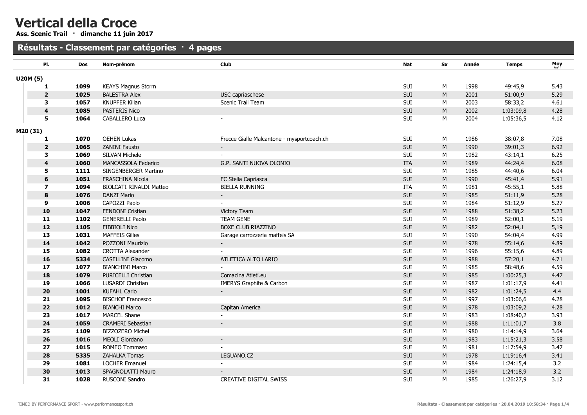Ass. Scenic Trail · dimanche 11 juin 2017

# Résultats - Classement par catégories · 4 pages

|          | PI.                     | <b>Dos</b> | Nom-prénom                     | <b>Club</b>                                | Nat        | <b>Sx</b> | Année | <b>Temps</b> | $Moy$ <sub>km/h</sub> |
|----------|-------------------------|------------|--------------------------------|--------------------------------------------|------------|-----------|-------|--------------|-----------------------|
| U20M (5) |                         |            |                                |                                            |            |           |       |              |                       |
|          | 1                       | 1099       | <b>KEAYS Magnus Storm</b>      |                                            | SUI        | М         | 1998  | 49:45,9      | 5.43                  |
|          | $\overline{\mathbf{2}}$ | 1025       | <b>BALESTRA Alex</b>           | USC capriaschese                           | SUI        | M         | 2001  | 51:00,9      | 5.29                  |
|          | 3                       | 1057       | <b>KNUPFER Kilian</b>          | Scenic Trail Team                          | SUI        | M         | 2003  | 58:33,2      | 4.61                  |
|          | 4                       | 1085       | PASTERIS Nico                  |                                            | SUI        | M         | 2002  | 1:03:09,8    | 4.28                  |
|          | 5                       | 1064       | CABALLERO Luca                 |                                            | SUI        | М         | 2004  | 1:05:36,5    | 4.12                  |
| M20 (31) |                         |            |                                |                                            |            |           |       |              |                       |
|          | 1                       | 1070       | <b>OEHEN Lukas</b>             | Frecce Gialle Malcantone - mysportcoach.ch | SUI        | М         | 1986  | 38:07,8      | 7.08                  |
|          | $\mathbf{2}$            | 1065       | ZANINI Fausto                  |                                            | SUI        | M         | 1990  | 39:01,3      | 6.92                  |
|          | 3                       | 1069       | <b>SILVAN Michele</b>          |                                            | SUI        | М         | 1982  | 43:14,1      | 6.25                  |
|          | 4                       | 1060       | MANCASSOLA Federico            | G.P. SANTI NUOVA OLONIO                    | <b>ITA</b> | M         | 1989  | 44:24,4      | 6.08                  |
|          | 5                       | 1111       | SINGENBERGER Martino           |                                            | SUI        | М         | 1985  | 44:40,6      | 6.04                  |
|          | 6                       | 1051       | FRASCHINA Nicola               | FC Stella Capriasca                        | SUI        | ${\sf M}$ | 1990  | 45:41,4      | 5.91                  |
|          | 7                       | 1094       | <b>BIOLCATI RINALDI Matteo</b> | <b>BIELLA RUNNING</b>                      | <b>ITA</b> | М         | 1981  | 45:55,1      | 5.88                  |
|          | 8                       | 1076       | <b>DANZI Mario</b>             |                                            | SUI        | M         | 1985  | 51:11,9      | 5.28                  |
|          | 9                       | 1006       | CAPOZZI Paolo                  |                                            | SUI        | М         | 1984  | 51:12,9      | 5.27                  |
|          | 10                      | 1047       | FENDONI Cristian               | Victory Team                               | SUI        | M         | 1988  | 51:38,2      | 5.23                  |
|          | 11                      | 1102       | <b>GENERELLI Paolo</b>         | <b>TEAM GENE</b>                           | SUI        | М         | 1989  | 52:00,1      | 5.19                  |
|          | 12                      | 1105       | FIBBIOLI Nico                  | BOXE CLUB RIAZZINO                         | SUI        | ${\sf M}$ | 1982  | 52:04,1      | 5,19                  |
|          | 13                      | 1031       | <b>MAFFEIS Gilles</b>          | Garage carrozzeria maffeis SA              | SUI        | М         | 1990  | 54:04,4      | 4.99                  |
|          | 14                      | 1042       | POZZONI Maurizio               |                                            | SUI        | M         | 1978  | 55:14,6      | 4.89                  |
|          | 15                      | 1082       | <b>CROTTA Alexander</b>        |                                            | SUI        | М         | 1996  | 55:15,6      | 4.89                  |
|          | 16                      | 5334       | CASELLINI Giacomo              | ATLETICA ALTO LARIO                        | SUI        | M         | 1988  | 57:20,1      | 4.71                  |
|          | 17                      | 1077       | <b>BIANCHINI Marco</b>         |                                            | SUI        | M         | 1985  | 58:48,6      | 4.59                  |
|          | 18                      | 1079       | PURICELLI Christian            | Comacina Atleti.eu                         | SUI        | M         | 1985  | 1:00:25,3    | 4.47                  |
|          | 19                      | 1066       | LUSARDI Christian              | <b>IMERYS Graphite &amp; Carbon</b>        | SUI        | M         | 1987  | 1:01:17,9    | 4.41                  |
|          | 20                      | 1001       | <b>KUFAHL Carlo</b>            |                                            | SUI        | M         | 1982  | 1:01:24,5    | 4.4                   |
|          | 21                      | 1095       | <b>BISCHOF Francesco</b>       |                                            | SUI        | M         | 1997  | 1:03:06,6    | 4.28                  |
|          | 22                      | 1012       | <b>BIANCHI Marco</b>           | Capitan America                            | SUI        | M         | 1978  | 1:03:09,2    | 4.28                  |
|          | 23                      | 1017       | MARCEL Shane                   |                                            | SUI        | М         | 1983  | 1:08:40,2    | 3.93                  |
|          | 24                      | 1059       | <b>CRAMERI Sebastian</b>       |                                            | SUI        | M         | 1988  | 1:11:01,7    | 3.8                   |
|          | 25                      | 1109       | BIZZOZERO Michel               |                                            | SUI        | М         | 1980  | 1:14:14,9    | 3.64                  |
|          | 26                      | 1016       | MEOLI Giordano                 |                                            | SUI        | M         | 1983  | 1:15:21,3    | 3.58                  |
|          | 27                      | 1015       | ROMEO Tommaso                  |                                            | SUI        | M         | 1981  | 1:17:54,9    | 3.47                  |
|          | 28                      | 5335       | ZAHALKA Tomas                  | LEGUANO.CZ                                 | SUI        | M         | 1978  | 1:19:16,4    | 3.41                  |
|          | 29                      | 1081       | <b>LOCHER Emanuel</b>          |                                            | SUI        | М         | 1984  | 1:24:15,4    | 3.2                   |
|          | 30                      | 1013       | SPAGNOLATTI Mauro              |                                            | SUI        | M         | 1984  | 1:24:18,9    | 3.2                   |
|          | 31                      | 1028       | RUSCONI Sandro                 | <b>CREATIVE DIGITAL SWISS</b>              | <b>SUI</b> | M         | 1985  | 1:26:27,9    | 3.12                  |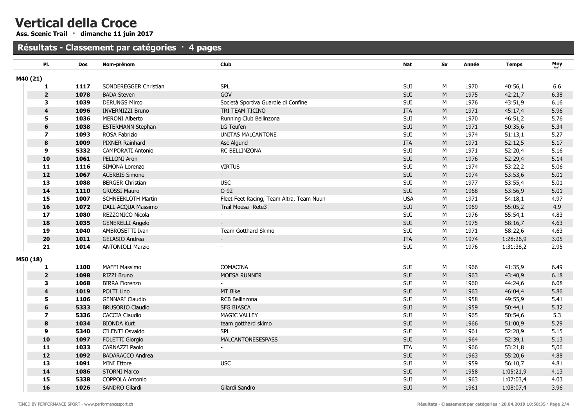Ass. Scenic Trail · dimanche 11 juin 2017

#### Résultats - Classement par catégories · 4 pages

| PI.                     | Dos  | Nom-prénom                | Club                                     | Nat                         | Sx        | Année | <b>Temps</b> | Moy  |
|-------------------------|------|---------------------------|------------------------------------------|-----------------------------|-----------|-------|--------------|------|
| M40 (21)                |      |                           |                                          |                             |           |       |              |      |
| 1                       | 1117 | SONDEREGGER Christian     | SPL                                      | SUI                         | М         | 1970  | 40:56,1      | 6.6  |
| $\overline{\mathbf{2}}$ | 1078 | <b>BADA Steven</b>        | GOV                                      | SUI                         | M         | 1975  | 42:21,7      | 6.38 |
| 3                       | 1039 | <b>DERUNGS Mirco</b>      | Società Sportiva Guardie di Confine      | SUI                         | M         | 1976  | 43:51,9      | 6.16 |
| 4                       | 1096 | <b>INVERNIZZI Bruno</b>   | TRI TEAM TICINO                          | ITA                         | M         | 1971  | 45:17,4      | 5.96 |
| 5                       | 1036 | <b>MERONI Alberto</b>     | Running Club Bellinzona                  | SUI                         | М         | 1970  | 46:51,2      | 5.76 |
| 6                       | 1038 | <b>ESTERMANN Stephan</b>  | LG Teufen                                | SUI                         | M         | 1971  | 50:35,6      | 5.34 |
| $\overline{\mathbf{z}}$ | 1093 | ROSA Fabrizio             | UNITAS MALCANTONE                        | SUI                         | М         | 1974  | 51:13,1      | 5.27 |
| $\pmb{8}$               | 1009 | PIXNER Rainhard           | Asc Algund                               | <b>ITA</b>                  | M         | 1971  | 52:12,5      | 5.17 |
| $\boldsymbol{9}$        | 5332 | <b>CAMPORATI Antonio</b>  | RC BELLINZONA                            | SUI                         | М         | 1971  | 52:20,4      | 5.16 |
| 10                      | 1061 | PELLONI Aron              |                                          | SUI                         | M         | 1976  | 52:29,4      | 5.14 |
| 11                      | 1116 | SIMONA Lorenzo            | <b>VIRTUS</b>                            | SUI                         | М         | 1974  | 53:22,2      | 5.06 |
| 12                      | 1067 | <b>ACERBIS Simone</b>     |                                          | SUI                         | M         | 1974  | 53:53,6      | 5.01 |
| 13                      | 1088 | <b>BERGER Christian</b>   | <b>USC</b>                               | SUI                         | М         | 1977  | 53:55,4      | 5.01 |
| 14                      | 1110 | <b>GROSSI Mauro</b>       | $O-92$                                   | SUI                         | ${\sf M}$ | 1968  | 53:56,9      | 5.01 |
| 15                      | 1007 | <b>SCHNEEKLOTH Martin</b> | Fleet Feet Racing, Team Altra, Team Nuun | <b>USA</b>                  | М         | 1971  | 54:18,1      | 4.97 |
| 16                      | 1072 | DALL ACQUA Massimo        | Trail Moesa - Rete3                      | SUI                         | M         | 1969  | 55:05,2      | 4.9  |
| 17                      | 1080 | REZZONICO Nicola          |                                          | SUI                         | М         | 1976  | 55:54,1      | 4.83 |
| 18                      | 1035 | <b>GENERELLI Angelo</b>   |                                          | SUI                         | M         | 1975  | 58:16,7      | 4.63 |
| 19                      | 1040 | AMBROSETTI Ivan           | Team Gotthard Skimo                      | SUI                         | М         | 1971  | 58:22,6      | 4.63 |
| 20                      | 1011 | <b>GELASIO Andrea</b>     |                                          | <b>ITA</b>                  | M         | 1974  | 1:28:26,9    | 3.05 |
| 21                      | 1014 | <b>ANTONIOLI Marzio</b>   |                                          | SUI                         | М         | 1976  | 1:31:38,2    | 2.95 |
| M50 (18)                |      |                           |                                          |                             |           |       |              |      |
| 1                       | 1100 | MAFFI Massimo             | COMACINA                                 | SUI                         | М         | 1966  | 41:35,9      | 6.49 |
| $\overline{\mathbf{2}}$ | 1098 | RIZZI Bruno               | MOESA RUNNER                             | SUI                         | ${\sf M}$ | 1963  | 43:40,9      | 6.18 |
| 3                       | 1068 | <b>BIRRA Fiorenzo</b>     |                                          | SUI                         | M         | 1960  | 44:24,6      | 6.08 |
| $\overline{\mathbf{4}}$ | 1019 | POLTI Lino                | MT Bike                                  | SUI                         | ${\sf M}$ | 1963  | 46:04,4      | 5.86 |
| 5                       | 1106 | <b>GENNARI Claudio</b>    | RCB Bellinzona                           | SUI                         | М         | 1958  | 49:55,9      | 5.41 |
| $\bf 6$                 | 5333 | <b>BRUSORIO Claudio</b>   | <b>SFG BIASCA</b>                        | SUI                         | ${\sf M}$ | 1959  | 50:44,1      | 5.32 |
| $\overline{\mathbf{z}}$ | 5336 | <b>CACCIA Claudio</b>     | <b>MAGIC VALLEY</b>                      | $\ensuremath{\mathsf{SUI}}$ | М         | 1965  | 50:54,6      | 5.3  |
| $\bf8$                  | 1034 | <b>BIONDA Kurt</b>        | team gotthard skimo                      | SUI                         | ${\sf M}$ | 1966  | 51:00,9      | 5.29 |
| 9                       | 5340 | CILENTI Osvaldo           | <b>SPL</b>                               | SUI                         | M         | 1961  | 52:28,9      | 5.15 |
| 10                      | 1097 | FOLETTI Giorgio           | <b>MALCANTONESESPASS</b>                 | SUI                         | M         | 1964  | 52:39,1      | 5.13 |
| 11                      | 1033 | <b>CARNAZZI Paolo</b>     |                                          | <b>ITA</b>                  | М         | 1966  | 53:21,8      | 5,06 |
| 12                      | 1092 | <b>BADARACCO Andrea</b>   |                                          | SUI                         | M         | 1963  | 55:20,6      | 4.88 |
| 13                      | 1091 | <b>MINI Ettore</b>        | <b>USC</b>                               | SUI                         | М         | 1959  | 56:10,7      | 4.81 |
| 14                      | 1086 | <b>STORNI Marco</b>       |                                          | SUI                         | M         | 1958  | 1:05:21,9    | 4.13 |
| 15                      | 5338 | COPPOLA Antonio           |                                          | SUI                         | M         | 1963  | 1:07:03,4    | 4.03 |
| 16                      | 1026 | SANDRO Gilardi            | Gilardi Sandro                           | SUI                         | M         | 1961  | 1:08:07,4    | 3.96 |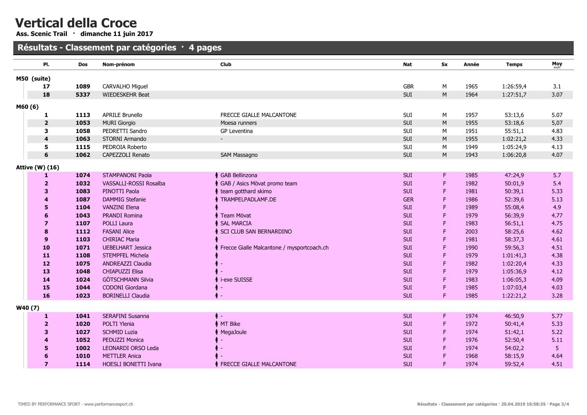Ass. Scenic Trail · dimanche 11 juin 2017

#### Résultats - Classement par catégories · 4 pages

|        | PI.                     | <b>Dos</b> | Nom-prénom               | Club                                       | Nat        | <b>Sx</b> | Année | <b>Temps</b> | Moy  |
|--------|-------------------------|------------|--------------------------|--------------------------------------------|------------|-----------|-------|--------------|------|
|        | M50 (suite)             |            |                          |                                            |            |           |       |              |      |
|        | 17                      | 1089       | CARVALHO Miguel          |                                            | <b>GBR</b> | М         | 1965  | 1:26:59,4    | 3.1  |
|        | 18                      | 5337       | WIEDESKEHR Beat          |                                            | SUI        | M         | 1964  | 1:27:51,7    | 3.07 |
|        |                         |            |                          |                                            |            |           |       |              |      |
| M60(6) |                         | 1113       | <b>APRILE Brunello</b>   | FRECCE GIALLE MALCANTONE                   | SUI        | М         | 1957  | 53:13,6      | 5.07 |
|        | 1<br>$\overline{2}$     | 1053       | <b>MURI Giorgio</b>      | Moesa runners                              | SUI        | M         | 1955  | 53:18,6      | 5,07 |
|        | 3                       | 1058       | PEDRETTI Sandro          | GP Leventina                               | SUI        | М         | 1951  | 55:51,1      | 4.83 |
|        | 4                       | 1063       | STORNI Armando           |                                            | SUI        | M         | 1955  | 1:02:21,2    | 4.33 |
|        | 5                       | 1115       | PEDROIA Roberto          |                                            | SUI        | М         | 1949  | 1:05:24,9    | 4.13 |
|        | 6                       | 1062       | CAPEZZOLI Renato         | SAM Massagno                               | SUI        | M         | 1943  | 1:06:20,8    | 4.07 |
|        |                         |            |                          |                                            |            |           |       |              |      |
|        | <b>Attive (W) (16)</b>  |            |                          |                                            |            |           |       |              |      |
|        | 1                       | 1074       | <b>STAMPANONI Paola</b>  | ↑ GAB Bellinzona                           | <b>SUI</b> | F.        | 1985  | 47:24,9      | 5.7  |
|        | $\overline{2}$          | 1032       | VASSALLI-ROSSI Rosalba   | GAB / Asics Mövat promo team               | <b>SUI</b> | F         | 1982  | 50:01,9      | 5.4  |
|        | 3                       | 1083       | PINOTTI Paola            | team gotthard skimo                        | <b>SUI</b> | F         | 1981  | 50:39,1      | 5.33 |
|        | 4                       | 1087       | <b>DAMMIG Stefanie</b>   | TRAMPELPADLAMF.DE                          | <b>GER</b> | F         | 1986  | 52:39,6      | 5.13 |
|        | 5                       | 1104       | <b>VANZINI Elena</b>     |                                            | <b>SUI</b> | F         | 1989  | 55:08,4      | 4.9  |
|        | 6                       | 1043       | <b>PRANDI Romina</b>     | Team Mövat                                 | <b>SUI</b> | F         | 1979  | 56:39,9      | 4.77 |
|        | 7                       | 1107       | <b>POLLI Laura</b>       | <b>SAL MARCIA</b>                          | <b>SUI</b> | F         | 1983  | 56:51,1      | 4.75 |
|        | 8                       | 1112       | <b>FASANI Alice</b>      | SCI CLUB SAN BERNARDINO                    | <b>SUI</b> | F         | 2003  | 58:25,6      | 4.62 |
|        | 9                       | 1103       | <b>CHIRIAC Maria</b>     |                                            | SUI        | F         | 1981  | 58:37,3      | 4.61 |
|        | 10                      | 1071       | <b>UEBELHART Jessica</b> | Frecce Gialle Malcantone / mysportcoach.ch | SUI        |           | 1990  | 59:56,3      | 4.51 |
|        | 11                      | 1108       | <b>STEMPFEL Michela</b>  |                                            | <b>SUI</b> | F         | 1979  | 1:01:41,3    | 4.38 |
|        | 12                      | 1075       | ANDREAZZI Claudia        |                                            | SUI        | F         | 1982  | 1:02:20,4    | 4.33 |
|        | 13                      | 1048       | <b>CHIAPUZZI Elisa</b>   |                                            | <b>SUI</b> | F         | 1979  | 1:05:36,9    | 4.12 |
|        | 14                      | 1024       | <b>GÖTSCHMANN Silvia</b> | i-exe SUISSE                               | <b>SUI</b> | F         | 1983  | 1:06:05,3    | 4.09 |
|        | 15                      | 1044       | CODONI Giordana          | $\overline{\phantom{a}}$                   | SUI        | F         | 1985  | 1:07:03,4    | 4.03 |
|        | 16                      | 1023       | <b>BORINELLI Claudia</b> | ↑ -                                        | <b>SUI</b> | F.        | 1985  | 1:22:21,2    | 3.28 |
|        | W40(7)                  |            |                          |                                            |            |           |       |              |      |
|        | 1                       | 1041       | SERAFINI Susanna         | 4∘-                                        | <b>SUI</b> | F.        | 1974  | 46:50,9      | 5.77 |
|        | $\overline{2}$          | 1020       | POLTI Ylenia             | MT Bike                                    | <b>SUI</b> | F         | 1972  | 50:41,4      | 5.33 |
|        | 3                       | 1027       | <b>SCHMID Luzia</b>      | MegaJoule                                  | <b>SUI</b> | F         | 1974  | 51:42,1      | 5.22 |
|        | 4                       | 1052       | PEDUZZI Monica           |                                            | <b>SUI</b> | F         | 1976  | 52:50,4      | 5.11 |
|        | 5                       | 1002       | LEONARDI ORSO Leda       |                                            | <b>SUI</b> | F         | 1974  | 54:02,2      | 5    |
|        |                         | 1010       | <b>METTLER Anica</b>     |                                            | SUI        | F         | 1968  | 58:15,9      | 4.64 |
|        | $\overline{\mathbf{z}}$ | 1114       | HOESLI BONETTI Ivana     | <b>FRECCE GIALLE MALCANTONE</b>            | <b>SUI</b> | F         | 1974  | 59:52,4      | 4.51 |